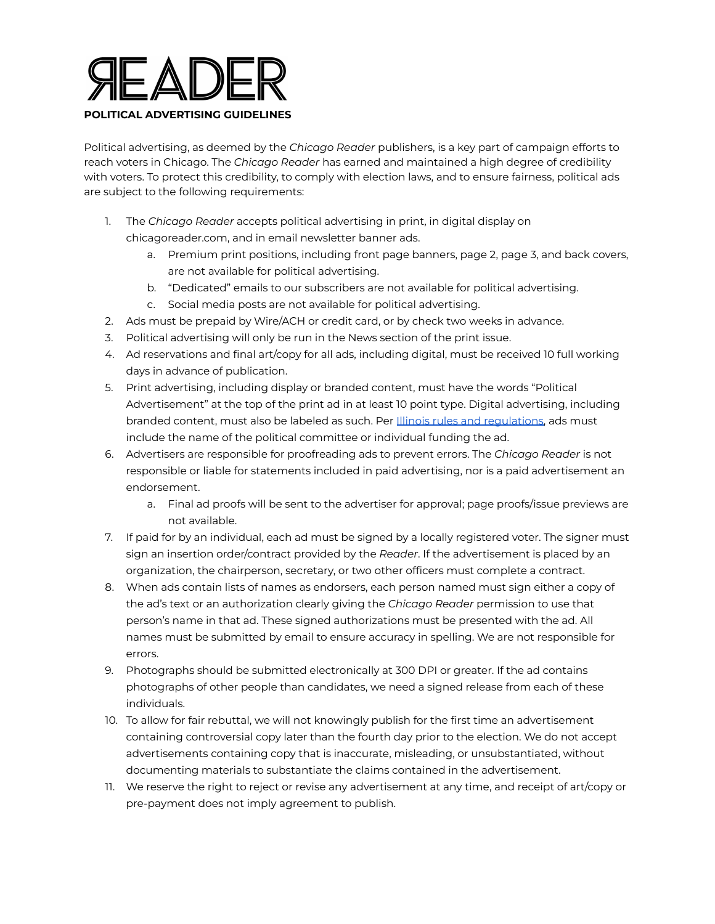

Political advertising, as deemed by the *Chicago Reader* publishers, is a key part of campaign efforts to reach voters in Chicago. The *Chicago Reader* has earned and maintained a high degree of credibility with voters. To protect this credibility, to comply with election laws, and to ensure fairness, political ads are subject to the following requirements:

- 1. The *Chicago Reader* accepts political advertising in print, in digital display on chicagoreader.com, and in email newsletter banner ads.
	- a. Premium print positions, including front page banners, page 2, page 3, and back covers, are not available for political advertising.
	- b. "Dedicated" emails to our subscribers are not available for political advertising.
	- c. Social media posts are not available for political advertising.
- 2. Ads must be prepaid by Wire/ACH or credit card, or by check two weeks in advance.
- 3. Political advertising will only be run in the News section of the print issue.
- 4. Ad reservations and final art/copy for all ads, including digital, must be received 10 full working days in advance of publication.
- 5. Print advertising, including display or branded content, must have the words "Political Advertisement" at the top of the print ad in at least 10 point type. Digital advertising, including branded content, must also be labeled as such. Per **Illinois rules and regulations**, ads must include the name of the political committee or individual funding the ad.
- 6. Advertisers are responsible for proofreading ads to prevent errors. The *Chicago Reader* is not responsible or liable for statements included in paid advertising, nor is a paid advertisement an endorsement.
	- a. Final ad proofs will be sent to the advertiser for approval; page proofs/issue previews are not available.
- 7. If paid for by an individual, each ad must be signed by a locally registered voter. The signer must sign an insertion order/contract provided by the *Reader*. If the advertisement is placed by an organization, the chairperson, secretary, or two other officers must complete a contract.
- 8. When ads contain lists of names as endorsers, each person named must sign either a copy of the ad's text or an authorization clearly giving the *Chicago Reader* permission to use that person's name in that ad. These signed authorizations must be presented with the ad. All names must be submitted by email to ensure accuracy in spelling. We are not responsible for errors.
- 9. Photographs should be submitted electronically at 300 DPI or greater. If the ad contains photographs of other people than candidates, we need a signed release from each of these individuals.
- 10. To allow for fair rebuttal, we will not knowingly publish for the first time an advertisement containing controversial copy later than the fourth day prior to the election. We do not accept advertisements containing copy that is inaccurate, misleading, or unsubstantiated, without documenting materials to substantiate the claims contained in the advertisement.
- 11. We reserve the right to reject or revise any advertisement at any time, and receipt of art/copy or pre-payment does not imply agreement to publish.